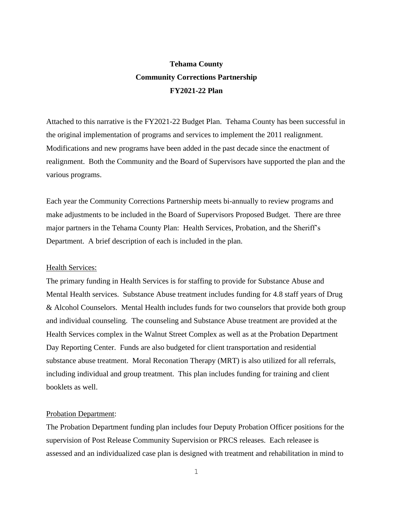# **Tehama County Community Corrections Partnership FY2021-22 Plan**

Attached to this narrative is the FY2021-22 Budget Plan. Tehama County has been successful in the original implementation of programs and services to implement the 2011 realignment. Modifications and new programs have been added in the past decade since the enactment of realignment. Both the Community and the Board of Supervisors have supported the plan and the various programs.

Each year the Community Corrections Partnership meets bi-annually to review programs and make adjustments to be included in the Board of Supervisors Proposed Budget. There are three major partners in the Tehama County Plan: Health Services, Probation, and the Sheriff's Department. A brief description of each is included in the plan.

#### Health Services:

The primary funding in Health Services is for staffing to provide for Substance Abuse and Mental Health services. Substance Abuse treatment includes funding for 4.8 staff years of Drug & Alcohol Counselors. Mental Health includes funds for two counselors that provide both group and individual counseling. The counseling and Substance Abuse treatment are provided at the Health Services complex in the Walnut Street Complex as well as at the Probation Department Day Reporting Center. Funds are also budgeted for client transportation and residential substance abuse treatment. Moral Reconation Therapy (MRT) is also utilized for all referrals, including individual and group treatment. This plan includes funding for training and client booklets as well.

#### Probation Department:

The Probation Department funding plan includes four Deputy Probation Officer positions for the supervision of Post Release Community Supervision or PRCS releases. Each releasee is assessed and an individualized case plan is designed with treatment and rehabilitation in mind to

1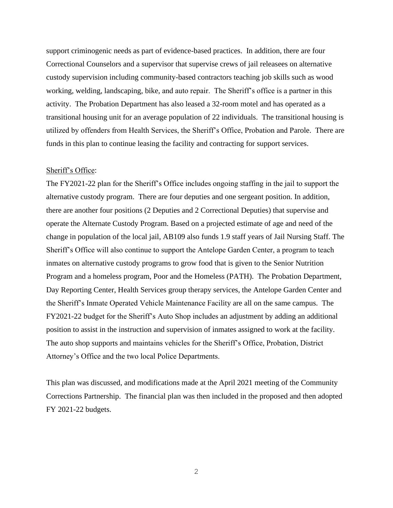support criminogenic needs as part of evidence-based practices. In addition, there are four Correctional Counselors and a supervisor that supervise crews of jail releasees on alternative custody supervision including community-based contractors teaching job skills such as wood working, welding, landscaping, bike, and auto repair. The Sheriff's office is a partner in this activity. The Probation Department has also leased a 32-room motel and has operated as a transitional housing unit for an average population of 22 individuals. The transitional housing is utilized by offenders from Health Services, the Sheriff's Office, Probation and Parole. There are funds in this plan to continue leasing the facility and contracting for support services.

#### Sheriff's Office:

The FY2021-22 plan for the Sheriff's Office includes ongoing staffing in the jail to support the alternative custody program. There are four deputies and one sergeant position. In addition, there are another four positions (2 Deputies and 2 Correctional Deputies) that supervise and operate the Alternate Custody Program. Based on a projected estimate of age and need of the change in population of the local jail, AB109 also funds 1.9 staff years of Jail Nursing Staff. The Sheriff's Office will also continue to support the Antelope Garden Center, a program to teach inmates on alternative custody programs to grow food that is given to the Senior Nutrition Program and a homeless program, Poor and the Homeless (PATH). The Probation Department, Day Reporting Center, Health Services group therapy services, the Antelope Garden Center and the Sheriff's Inmate Operated Vehicle Maintenance Facility are all on the same campus. The FY2021-22 budget for the Sheriff's Auto Shop includes an adjustment by adding an additional position to assist in the instruction and supervision of inmates assigned to work at the facility. The auto shop supports and maintains vehicles for the Sheriff's Office, Probation, District Attorney's Office and the two local Police Departments.

This plan was discussed, and modifications made at the April 2021 meeting of the Community Corrections Partnership. The financial plan was then included in the proposed and then adopted FY 2021-22 budgets.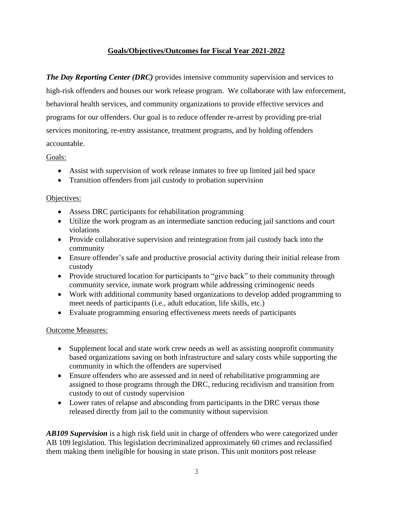# **Goals/Objectives/Outcomes for Fiscal Year 2021-2022**

*The Day Reporting Center (DRC)* provides intensive community supervision and services to high-risk offenders and houses our work release program. We collaborate with law enforcement, behavioral health services, and community organizations to provide effective services and programs for our offenders. Our goal is to reduce offender re-arrest by providing pre-trial services monitoring, re-entry assistance, treatment programs, and by holding offenders accountable.

# Goals:

- Assist with supervision of work release inmates to free up limited jail bed space
- Transition offenders from jail custody to probation supervision

### Objectives:

- Assess DRC participants for rehabilitation programming
- Utilize the work program as an intermediate sanction reducing jail sanctions and court violations
- Provide collaborative supervision and reintegration from jail custody back into the community
- Ensure offender's safe and productive prosocial activity during their initial release from custody
- Provide structured location for participants to "give back" to their community through community service, inmate work program while addressing criminogenic needs
- Work with additional community based organizations to develop added programming to meet needs of participants (i.e., adult education, life skills, etc.)
- Evaluate programming ensuring effectiveness meets needs of participants

# Outcome Measures:

- Supplement local and state work crew needs as well as assisting nonprofit community based organizations saving on both infrastructure and salary costs while supporting the community in which the offenders are supervised
- Ensure offenders who are assessed and in need of rehabilitative programming are assigned to those programs through the DRC, reducing recidivism and transition from custody to out of custody supervision
- Lower rates of relapse and absconding from participants in the DRC versus those released directly from jail to the community without supervision

*AB109 Supervision* is a high risk field unit in charge of offenders who were categorized under AB 109 legislation. This legislation decriminalized approximately 60 crimes and reclassified them making them ineligible for housing in state prison. This unit monitors post release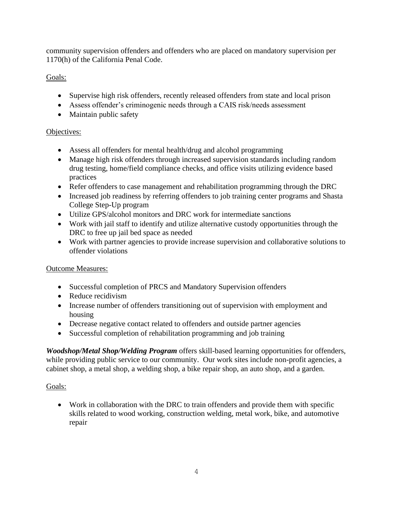community supervision offenders and offenders who are placed on mandatory supervision per 1170(h) of the California Penal Code.

# Goals:

- Supervise high risk offenders, recently released offenders from state and local prison
- Assess offender's criminogenic needs through a CAIS risk/needs assessment
- Maintain public safety

# Objectives:

- Assess all offenders for mental health/drug and alcohol programming
- Manage high risk offenders through increased supervision standards including random drug testing, home/field compliance checks, and office visits utilizing evidence based practices
- Refer offenders to case management and rehabilitation programming through the DRC
- Increased job readiness by referring offenders to job training center programs and Shasta College Step-Up program
- Utilize GPS/alcohol monitors and DRC work for intermediate sanctions
- Work with jail staff to identify and utilize alternative custody opportunities through the DRC to free up jail bed space as needed
- Work with partner agencies to provide increase supervision and collaborative solutions to offender violations

# Outcome Measures:

- Successful completion of PRCS and Mandatory Supervision offenders
- Reduce recidivism
- Increase number of offenders transitioning out of supervision with employment and housing
- Decrease negative contact related to offenders and outside partner agencies
- Successful completion of rehabilitation programming and job training

*Woodshop/Metal Shop/Welding Program* offers skill-based learning opportunities for offenders, while providing public service to our community. Our work sites include non-profit agencies, a cabinet shop, a metal shop, a welding shop, a bike repair shop, an auto shop, and a garden.

# Goals:

• Work in collaboration with the DRC to train offenders and provide them with specific skills related to wood working, construction welding, metal work, bike, and automotive repair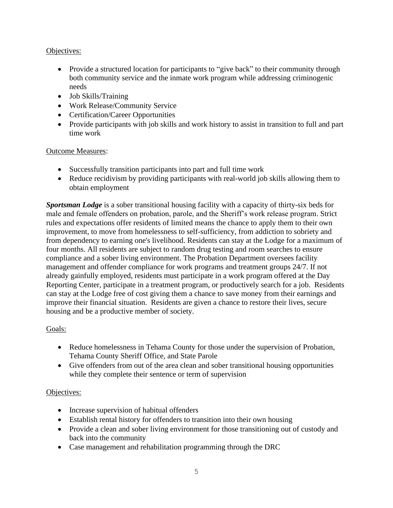# Objectives:

- Provide a structured location for participants to "give back" to their community through both community service and the inmate work program while addressing criminogenic needs
- Job Skills/Training
- Work Release/Community Service
- Certification/Career Opportunities
- Provide participants with job skills and work history to assist in transition to full and part time work

# Outcome Measures:

- Successfully transition participants into part and full time work
- Reduce recidivism by providing participants with real-world job skills allowing them to obtain employment

*Sportsman Lodge* is a sober transitional housing facility with a capacity of thirty-six beds for male and female offenders on probation, parole, and the Sheriff's work release program. Strict rules and expectations offer residents of limited means the chance to apply them to their own improvement, to move from homelessness to self-sufficiency, from addiction to sobriety and from dependency to earning one's livelihood. Residents can stay at the Lodge for a maximum of four months. All residents are subject to random drug testing and room searches to ensure compliance and a sober living environment. The Probation Department oversees facility management and offender compliance for work programs and treatment groups 24/7. If not already gainfully employed, residents must participate in a work program offered at the Day Reporting Center, participate in a treatment program, or productively search for a job. Residents can stay at the Lodge free of cost giving them a chance to save money from their earnings and improve their financial situation. Residents are given a chance to restore their lives, secure housing and be a productive member of society.

# Goals:

- Reduce homelessness in Tehama County for those under the supervision of Probation, Tehama County Sheriff Office, and State Parole
- Give offenders from out of the area clean and sober transitional housing opportunities while they complete their sentence or term of supervision

### Objectives:

- Increase supervision of habitual offenders
- Establish rental history for offenders to transition into their own housing
- Provide a clean and sober living environment for those transitioning out of custody and back into the community
- Case management and rehabilitation programming through the DRC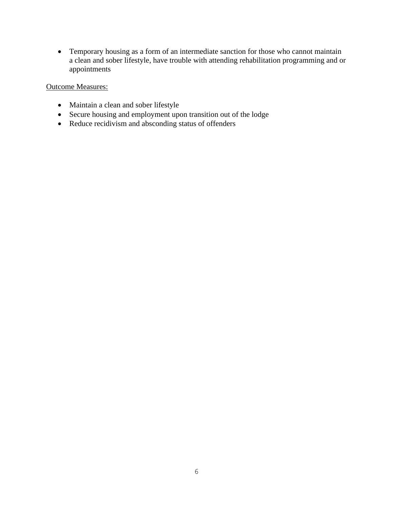• Temporary housing as a form of an intermediate sanction for those who cannot maintain a clean and sober lifestyle, have trouble with attending rehabilitation programming and or appointments

# Outcome Measures:

- Maintain a clean and sober lifestyle
- Secure housing and employment upon transition out of the lodge
- Reduce recidivism and absconding status of offenders